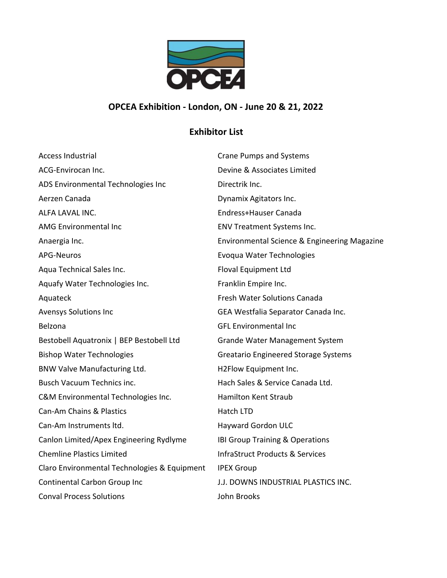

## **OPCEA Exhibition ‐ London, ON ‐ June 20 & 21, 2022**

## **Exhibitor List**

| <b>Access Industrial</b>                     | <b>Crane Pumps and Systems</b>               |
|----------------------------------------------|----------------------------------------------|
| ACG-Envirocan Inc.                           | Devine & Associates Limited                  |
| ADS Environmental Technologies Inc           | Directrik Inc.                               |
| Aerzen Canada                                | Dynamix Agitators Inc.                       |
| ALFA LAVAL INC.                              | Endress+Hauser Canada                        |
| AMG Environmental Inc                        | <b>ENV Treatment Systems Inc.</b>            |
| Anaergia Inc.                                | Environmental Science & Engineering Magazine |
| <b>APG-Neuros</b>                            | Evoqua Water Technologies                    |
| Aqua Technical Sales Inc.                    | <b>Floval Equipment Ltd</b>                  |
| Aquafy Water Technologies Inc.               | Franklin Empire Inc.                         |
| Aquateck                                     | <b>Fresh Water Solutions Canada</b>          |
| Avensys Solutions Inc                        | GEA Westfalia Separator Canada Inc.          |
| Belzona                                      | <b>GFL Environmental Inc</b>                 |
| Bestobell Aquatronix   BEP Bestobell Ltd     | <b>Grande Water Management System</b>        |
| <b>Bishop Water Technologies</b>             | <b>Greatario Engineered Storage Systems</b>  |
| BNW Valve Manufacturing Ltd.                 | H2Flow Equipment Inc.                        |
| <b>Busch Vacuum Technics inc.</b>            | Hach Sales & Service Canada Ltd.             |
| C&M Environmental Technologies Inc.          | <b>Hamilton Kent Straub</b>                  |
| Can-Am Chains & Plastics                     | <b>Hatch LTD</b>                             |
| Can-Am Instruments ltd.                      | Hayward Gordon ULC                           |
| Canlon Limited/Apex Engineering Rydlyme      | IBI Group Training & Operations              |
| <b>Chemline Plastics Limited</b>             | <b>InfraStruct Products &amp; Services</b>   |
| Claro Environmental Technologies & Equipment | <b>IPEX Group</b>                            |
| Continental Carbon Group Inc                 | J.J. DOWNS INDUSTRIAL PLASTICS INC.          |
| <b>Conval Process Solutions</b>              | John Brooks                                  |